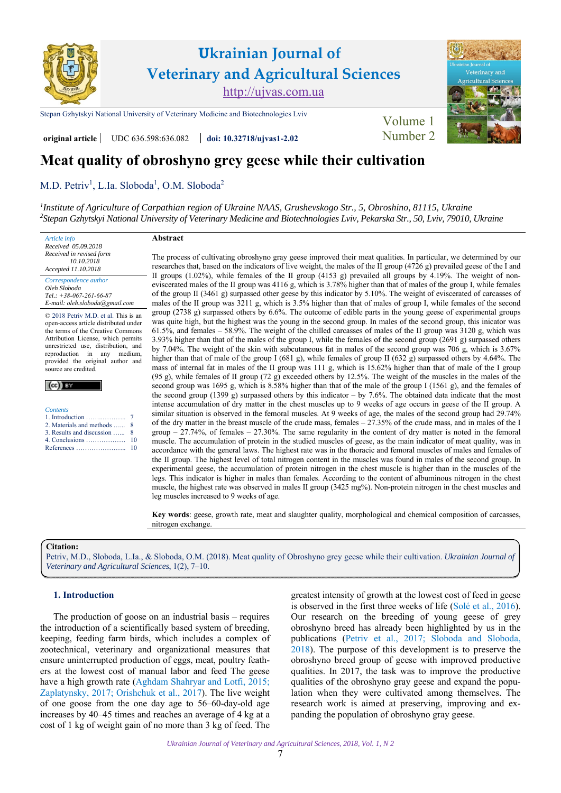

[Stepan Gzhytskyi National University of Veterinary Medicine and Biotechnologies Lviv](https://lvet.edu.ua) Volume 1

**original article** UDC 636.598:636.082 **[doi: 10.32718/ujvas1-2.02](https://doi.org/10.32718/ujvas1-2.02)** [Number 2](https://ujvas.com.ua/index.php/journal/issue/view/2)



# **Meat quality of obroshyno grey geese while their cultivation**

[M.D. Petriv](https://orcid.org/0000-0003-3199-0265)<sup>1</sup>, L.Ia. Sloboda<sup>1</sup>, O.M. Sloboda<sup>2</sup>

*1 [Institute of Agriculture of Carpathian region of Ukraine NAAS, Grushevskogo Str., 5, Obroshino, 81115, Ukraine](http://isgkr.com.ua) 2 [Stepan Gzhytskyi National University of Veterinary Medicine and Biotechnologies Lviv, Pekarska Str., 50, Lviv, 79010, Ukraine](https://lvet.edu.ua)* 

*Article info Received 05.09.2018 Received in revised form 10.10.2018 Accepted 11.10.2018 Correspondence author [Oleh Sloboda](https://scholar.google.com.ua/citations?user=Elua0cYAAAAJ&hl=ru)* 

*Tel.: +38-067-261-66-87 E-mail: oleh.sloboda@gmail.сom*

© 2018 Petriv M.D. et al. This is an open-access article distributed under the terms of the Creative Commons Attribution License, which permits unrestricted use, distribution, and reproduction in any medium, provided the original author and source are credited.

| <b>Contents</b>                           |
|-------------------------------------------|
| 1. Introduction $\dots \dots \dots \dots$ |
| 2. Materials and methods                  |
| 3. Results and discussion                 |
| 4. Conclusions $\dots \dots \dots \dots$  |

[References …………………..](#page-3-0)

# **Abstract**

The process of cultivating obroshyno gray geese improved their meat qualities. In particular, we determined by our researches that, based on the indicators of live weight, the males of the II group (4726 g) prevailed geese of the I and II groups (1.02%), while females of the ІІ group (4153 g) prevailed all groups by 4.19%. The weight of noneviscerated males of the II group was 4116 g, which is 3.78% higher than that of males of the group I, while females of the group ІІ (3461 g) surpassed other geese by this indicator by 5.10%. The weight of eviscerated of carcasses of males of the II group was 3211 g, which is 3.5% higher than that of males of group I, while females of the second group (2738 g) surpassed others by 6.6%. The outcome of edible parts in the young geese of experimental groups was quite high, but the highest was the young in the second group. In males of the second group, this inicator was 61.5%, and females – 58.9%. The weight of the chilled carcasses of males of the II group was 3120 g, which was 3.93% higher than that of the males of the group I, while the females of the second group (2691 g) surpassed others by 7.04%. The weight of the skin with subcutaneous fat in males of the second group was 706 g, which is 3.67% higher than that of male of the group I (681 g), while females of group II (632 g) surpassed others by 4.64%. The mass of internal fat in males of the ІІ group was 111 g, which is 15.62% higher than that of male of the I group (95 g), while females of ІІ group (72 g) exceeded others by 12.5%. The weight of the muscles in the males of the second group was 1695 g, which is 8.58% higher than that of the male of the group I (1561 g), and the females of the second group (1399 g) surpassed others by this indicator – by 7.6%. The obtained data indicate that the most intense accumulation of dry matter in the chest muscles up to 9 weeks of age occurs in geese of the II group. A similar situation is observed in the femoral muscles. At 9 weeks of age, the males of the second group had 29.74% of the dry matter in the breast muscle of the crude mass, females – 27.35% of the crude mass, and in males of the I group – 27.74%, of females – 27.30%. The same regularity in the content of dry matter is noted in the femoral muscle. The accumulation of protein in the studied muscles of geese, as the main indicator of meat quality, was in accordance with the general laws. The highest rate was in the thoracic and femoral muscles of males and females of the II group. The highest level of total nitrogen content in the muscles was found in males of the second group. In experimental geese, the accumulation of protein nitrogen in the chest muscle is higher than in the muscles of the legs. This indicator is higher in males than females. According to the content of albuminous nitrogen in the chest muscle, the highest rate was observed in males II group (3425 mg%). Non-protein nitrogen in the chest muscles and leg muscles increased to 9 weeks of age.

**Key words**: geese, growth rate, meat and slaughter quality, morphological and chemical composition of carcasses, nitrogen exchange.

**Citation:** 

[Petriv, M.D., Sloboda, L.Ia., & Sloboda, O.M. \(2018\). Meat quality of Obroshyno grey geese while their cultivation.](https://doi.org/10.32718/ujvas1-2.02) *Ukrainian Journal of Veterinary and Agricultural Sciences*, 1(2), 7–10.

# **1. Introduction**

The production of goose on an industrial basis – requires the introduction of a scientifically based system of breeding, keeping, feeding farm birds, which includes a complex of zootechnical, veterinary and organizational measures that ensure uninterrupted production of eggs, meat, poultry feathers at the lowest cost of manual labor and feed The geese have a high growth rate [\(Aghdam Shahryar and Lotfi, 2015;](#page-3-0) [Zaplatynsky, 2017;](#page-3-0) [Orishchuk et al., 2017](#page-3-0)). The live weight of one goose from the one day age to 56–60-day-old age increases by 40–45 times and reaches an average of 4 kg at a cost of 1 kg of weight gain of no more than 3 kg of feed. The

greatest intensity of growth at the lowest cost of feed in geese is observed in the first three weeks of life [\(Solé et al., 2016](#page-3-0)). Our research on the breeding of young geese of grey obroshyno breed has already been highlighted by us in the publications ([Petriv et al., 2017;](#page-3-0) [Sloboda and Sloboda,](#page-3-0)  [2018](#page-3-0)). The purpose of this development is to preserve the obroshyno breed group of geese with improved productive qualities. In 2017, the task was to improve the productive qualities of the obroshyno gray geese and expand the population when they were cultivated among themselves. The research work is aimed at preserving, improving and expanding the population of obroshyno gray geese.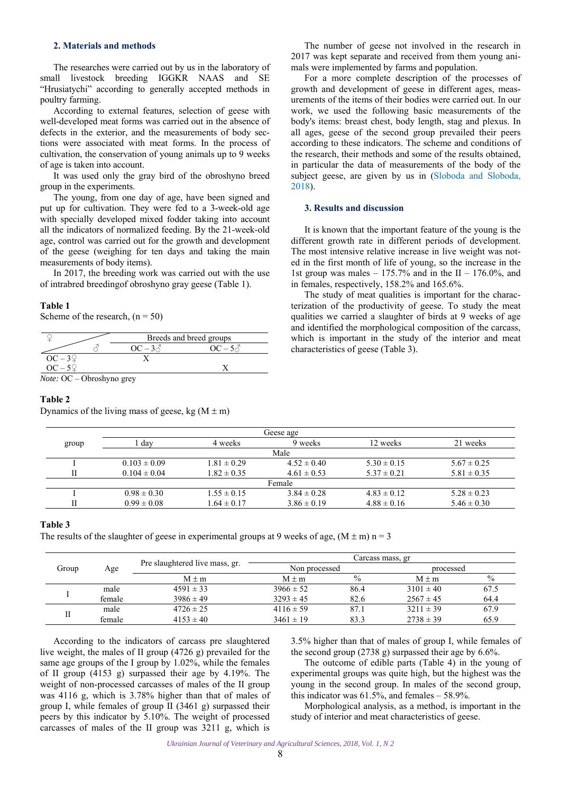# <span id="page-1-0"></span>**2. Materials and methods**

The researches were carried out by us in the laboratory of small livestock breeding IGGKR NAAS and SE "Hrusiatychi" according to generally accepted methods in poultry farming.

According to external features, selection of geese with well-developed meat forms was carried out in the absence of defects in the exterior, and the measurements of body sections were associated with meat forms. In the process of cultivation, the conservation of young animals up to 9 weeks of age is taken into account.

It was used only the gray bird of the obroshyno breed group in the experiments.

The young, from one day of age, have been signed and put up for cultivation. They were fed to a 3-week-old age with specially developed mixed fodder taking into account all the indicators of normalized feeding. By the 21-week-old age, control was carried out for the growth and development of the geese (weighing for ten days and taking the main measurements of body items).

In 2017, the breeding work was carried out with the use of intrabred breedingof obroshyno gray geese (Table 1).

# **Table 1**

Scheme of the research,  $(n = 50)$ 

|                                    | Breeds and breed groups |  |  |  |  |
|------------------------------------|-------------------------|--|--|--|--|
|                                    | $OC = 3\lambda$         |  |  |  |  |
| $OC-3Q$                            |                         |  |  |  |  |
| $OC-5Q$                            |                         |  |  |  |  |
| $Nota \cdot \Omega$ Obroshyno grey |                         |  |  |  |  |

*Note:* ОС – Obroshyno grey

# **Table 2**

Dynamics of the living mass of geese, kg  $(M \pm m)$ 

The number of geese not involved in the research in 2017 was kept separate and received from them young animals were implemented by farms and population.

For a more complete description of the processes of growth and development of geese in different ages, measurements of the items of their bodies were carried out. In our work, we used the following basic measurements of the body's items: breast chest, body length, stag and plexus. In all ages, geese of the second group prevailed their peers according to these indicators. The scheme and conditions of the research, their methods and some of the results obtained, in particular the data of measurements of the body of the subject geese, are given by us in ([Sloboda and Sloboda,](#page-3-0)  [2018](#page-3-0)).

### **3. Results and discussion**

It is known that the important feature of the young is the different growth rate in different periods of development. The most intensive relative increase in live weight was noted in the first month of life of young, so the increase in the 1st group was males –  $175.7\%$  and in the II – 176.0%, and in females, respectively, 158.2% and 165.6%.

The study of meat qualities is important for the characterization of the productivity of geese. To study the meat qualities we carried a slaughter of birds at 9 weeks of age and identified the morphological composition of the carcass, which is important in the study of the interior and meat characteristics of geese (Table 3).

|       |                  |                 | Geese age       |                 |                 |
|-------|------------------|-----------------|-----------------|-----------------|-----------------|
| group | dav              | 4 weeks         | 9 weeks         | 12 weeks        | 21 weeks        |
|       |                  |                 | Male            |                 |                 |
|       | $0.103 \pm 0.09$ | $1.81 \pm 0.29$ | $4.52 \pm 0.40$ | $5.30 \pm 0.15$ | $5.67 \pm 0.25$ |
|       | $0.104 \pm 0.04$ | $1.82 \pm 0.35$ | $4.61 \pm 0.53$ | $5.37 \pm 0.21$ | $5.81 \pm 0.35$ |
|       |                  |                 | Female          |                 |                 |
|       | $0.98 \pm 0.30$  | $1.55 \pm 0.15$ | $3.84 \pm 0.28$ | $4.83 \pm 0.12$ | $5.28 \pm 0.23$ |
|       | $0.99 \pm 0.08$  | $1.64 \pm 0.17$ | $3.86 \pm 0.19$ | $4.88 \pm 0.16$ | $5.46 \pm 0.30$ |
|       |                  |                 |                 |                 |                 |

### **Table 3**

The results of the slaughter of geese in experimental groups at 9 weeks of age,  $(M \pm m)$  n = 3

| Group |        | Pre slaughtered live mass, gr.<br>Age<br>$M \pm m$ | Carcass mass, gr |      |               |      |  |  |
|-------|--------|----------------------------------------------------|------------------|------|---------------|------|--|--|
|       |        |                                                    | Non processed    |      | processed     |      |  |  |
|       |        |                                                    | $M \pm m$        | $\%$ | $M + m$       | $\%$ |  |  |
|       | male   | $4591 \pm 33$                                      | $3966 \pm 52$    | 86.4 | $3101 \pm 40$ | 67.5 |  |  |
|       | female | $3986 \pm 49$                                      | $3293 \pm 45$    | 82.6 | $2567 \pm 45$ | 64.4 |  |  |
|       | male   | $4726 \pm 25$                                      | $4116 \pm 59$    | 87.1 | $3211 \pm 39$ | 67.9 |  |  |
|       | female | $4153 \pm 40$                                      | $3461 \pm 19$    | 83.3 | $2738 \pm 39$ | 65.9 |  |  |

According to the indicators of carcass pre slaughtered live weight, the males of II group (4726 g) prevailed for the same age groups of the I group by 1.02%, while the females of ІІ group (4153 g) surpassed their age by 4.19%. The weight of non-processed carcasses of males of the II group was 4116 g, which is 3.78% higher than that of males of group I, while females of group ІІ (3461 g) surpassed their peers by this indicator by 5.10%. The weight of processed carcasses of males of the II group was 3211 g, which is 3.5% higher than that of males of group I, while females of the second group (2738 g) surpassed their age by 6.6%.

The outcome of edible parts (Table 4) in the young of experimental groups was quite high, but the highest was the young in the second group. In males of the second group, this indicator was  $61.5\%$ , and females  $-58.9\%$ .

Morphological analysis, as a method, is important in the study of interior and meat characteristics of geese.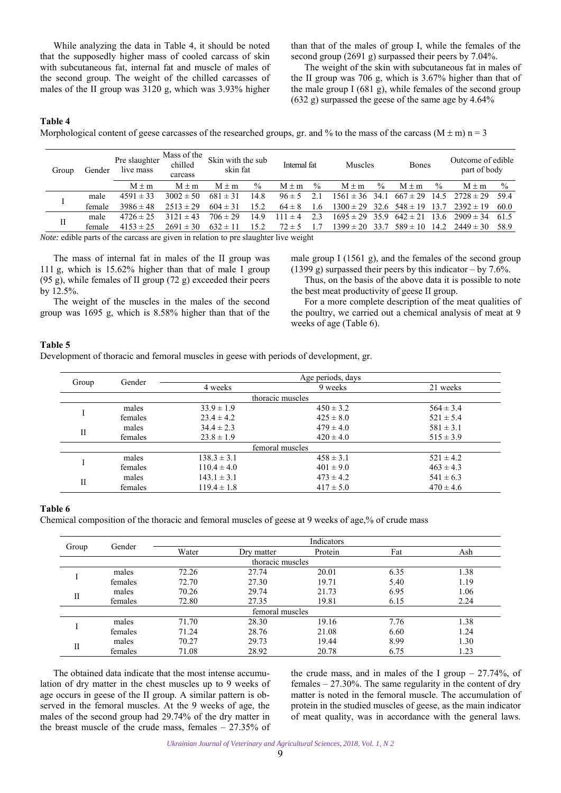While analyzing the data in Table 4, it should be noted that the supposedly higher mass of cooled carcass of skin with subcutaneous fat, internal fat and muscle of males of the second group. The weight of the chilled carcasses of males of the II group was 3120 g, which was 3.93% higher

than that of the males of group I, while the females of the second group (2691 g) surpassed their peers by 7.04%.

The weight of the skin with subcutaneous fat in males of the II group was 706 g, which is 3.67% higher than that of the male group I (681 g), while females of the second group (632 g) surpassed the geese of the same age by 4.64%

# **Table 4**

Morphological content of geese carcasses of the researched groups, gr. and % to the mass of the carcass (M  $\pm$  m) n = 3

| Gender<br>Group                                                                        |        | Pre slaughter<br>live mass | Mass of the<br>chilled<br>carcass | Skin with the sub<br>skin fat |      | Internal fat |               | <b>Muscles</b>                       |               | <b>Bones</b> |               | Outcome of edible<br>part of body                  |               |
|----------------------------------------------------------------------------------------|--------|----------------------------|-----------------------------------|-------------------------------|------|--------------|---------------|--------------------------------------|---------------|--------------|---------------|----------------------------------------------------|---------------|
|                                                                                        |        | $M \pm m$                  | $M \pm m$                         | $M \pm m$                     | $\%$ | $M \pm m$    | $\frac{0}{0}$ | $M \pm m$                            | $\frac{0}{0}$ | $M \pm m$    | $\frac{0}{0}$ | $M \pm m$                                          | $\frac{0}{0}$ |
|                                                                                        | male   | $4591 \pm 33$              | $3002 \pm 50$                     | $681 \pm 31$                  | 14.8 | $96 \pm 5$   | 2.1           |                                      |               |              |               | $1561 \pm 36$ 34.1 $667 \pm 29$ 14.5 $2728 \pm 29$ | 59.4          |
|                                                                                        | female | $3986 \pm 48$              | $2513 \pm 29$                     | $604 \pm 31$                  | 15.2 | $64 \pm 8$   | 1.6           | $1300 \pm 29$ 32.6 $548 \pm 19$ 13.7 |               |              |               | $2392 \pm 19$                                      | 60.0          |
| $\mathbf{I}$                                                                           | male   | $4726 \pm 25$              | $3121 \pm 43$                     | $706 \pm 29$                  | 14.9 | $111 \pm 4$  | 2.3           | $1695 \pm 29$ 35.9 $642 \pm 21$      |               |              | - 13.6        | $2909 \pm 34$                                      | 61.5          |
|                                                                                        | female | $4153 \pm 25$              | $2691 \pm 30$                     | $632 \pm 11$                  | 15.2 | $72 \pm 5$   | 1.7           | $1399 \pm 20$ 33.7                   |               |              |               | $589 \pm 10$ 14.2 $2449 \pm 30$                    | 58.9          |
| Nator adible worte of the concess one given in velotion to now classeleton live weight |        |                            |                                   |                               |      |              |               |                                      |               |              |               |                                                    |               |

*Note:* edible parts of the carcass are given in relation to pre slaughter live weight

The mass of internal fat in males of the ІІ group was 111 g, which is 15.62% higher than that of male I group (95 g), while females of II group  $(72 \text{ g})$  exceeded their peers by 12.5%.

The weight of the muscles in the males of the second group was 1695 g, which is 8.58% higher than that of the male group I (1561 g), and the females of the second group (1399 g) surpassed their peers by this indicator – by 7.6%.

Thus, on the basis of the above data it is possible to note the best meat productivity of geese II group.

For a more complete description of the meat qualities of the poultry, we carried out a chemical analysis of meat at 9 weeks of age (Table 6).

### **Table 5**

Development of thoracic and femoral muscles in geese with periods of development, gr.

|              |         | Age periods, days |                  |               |  |  |  |
|--------------|---------|-------------------|------------------|---------------|--|--|--|
| Group        | Gender  | 4 weeks           | 9 weeks          | 21 weeks      |  |  |  |
|              |         |                   | thoracic muscles |               |  |  |  |
|              | males   | $33.9 \pm 1.9$    | $450 \pm 3.2$    | $564 \pm 3.4$ |  |  |  |
|              | females | $23.4 \pm 4.2$    | $425 \pm 8.0$    | $521 \pm 5.4$ |  |  |  |
| $\mathbf{I}$ | males   | $34.4 \pm 2.3$    | $479 \pm 4.0$    | $581 \pm 3.1$ |  |  |  |
|              | females | $23.8 \pm 1.9$    | $420 \pm 4.0$    | $515 \pm 3.9$ |  |  |  |
|              |         |                   | femoral muscles  |               |  |  |  |
|              | males   | $138.3 \pm 3.1$   | $458 \pm 3.1$    | $521 \pm 4.2$ |  |  |  |
|              | females | $110.4 \pm 4.0$   | $401 \pm 9.0$    | $463 \pm 4.3$ |  |  |  |
|              | males   | $143.1 \pm 3.1$   | $473 \pm 4.2$    | $541 \pm 6.3$ |  |  |  |
| $\mathbf{I}$ | females | $119.4 \pm 1.8$   | $417 \pm 5.0$    | $470 \pm 4.6$ |  |  |  |

#### **Table 6**

Chemical composition of the thoracic and femoral muscles of geese at 9 weeks of age,% of crude mass

|              | Gender  |       |                  | Indicators |      |      |
|--------------|---------|-------|------------------|------------|------|------|
| Group        |         | Water | Dry matter       | Protein    | Fat  | Ash  |
|              |         |       | thoracic muscles |            |      |      |
|              | males   | 72.26 | 27.74            | 20.01      | 6.35 | 1.38 |
|              | females | 72.70 | 27.30            | 19.71      | 5.40 | 1.19 |
|              | males   | 70.26 | 29.74            | 21.73      | 6.95 | 1.06 |
| $\mathbf{I}$ | females | 72.80 | 27.35            | 19.81      | 6.15 | 2.24 |
|              |         |       | femoral muscles  |            |      |      |
|              | males   | 71.70 | 28.30            | 19.16      | 7.76 | 1.38 |
|              | females | 71.24 | 28.76            | 21.08      | 6.60 | 1.24 |
| $\mathbf{I}$ | males   | 70.27 | 29.73            | 19.44      | 8.99 | 1.30 |
|              | females | 71.08 | 28.92            | 20.78      | 6.75 | 1.23 |

The obtained data indicate that the most intense accumulation of dry matter in the chest muscles up to 9 weeks of age occurs in geese of the II group. A similar pattern is observed in the femoral muscles. At the 9 weeks of age, the males of the second group had 29.74% of the dry matter in the breast muscle of the crude mass, females  $-27.35\%$  of

the crude mass, and in males of the I group  $-27.74\%$ , of females  $-27.30\%$ . The same regularity in the content of dry matter is noted in the femoral muscle. The accumulation of protein in the studied muscles of geese, as the main indicator of meat quality, was in accordance with the general laws.